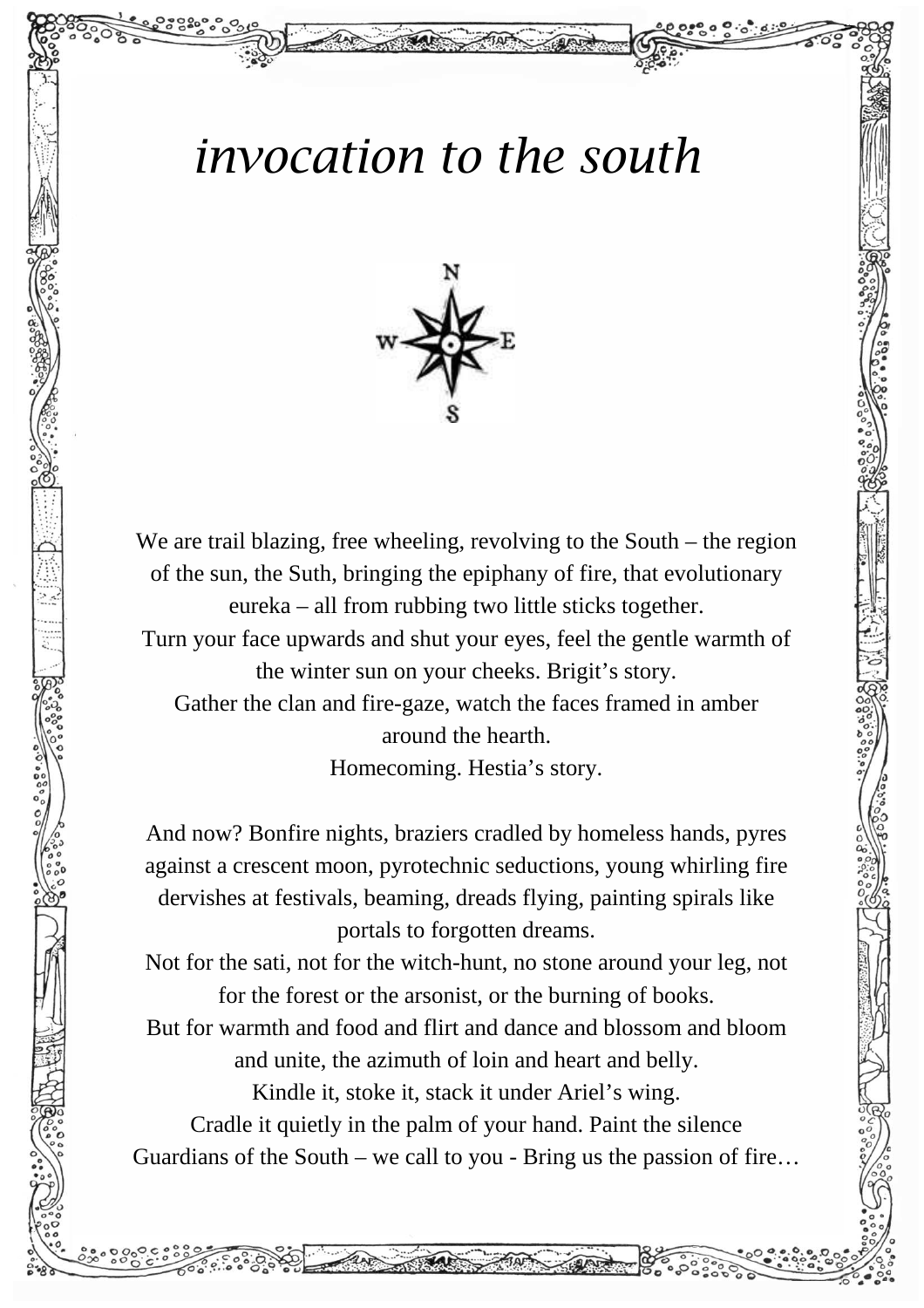## *invocation to the south*



We are trail blazing, free wheeling, revolving to the South – the region of the sun, the Suth, bringing the epiphany of fire, that evolutionary eureka – all from rubbing two little sticks together. Turn your face upwards and shut your eyes, feel the gentle warmth of the winter sun on your cheeks. Brigit's story. Gather the clan and fire-gaze, watch the faces framed in amber around the hearth. Homecoming. Hestia's story.

And now? Bonfire nights, braziers cradled by homeless hands, pyres against a crescent moon, pyrotechnic seductions, young whirling fire dervishes at festivals, beaming, dreads flying, painting spirals like portals to forgotten dreams.

Not for the sati, not for the witch-hunt, no stone around your leg, not for the forest or the arsonist, or the burning of books.

But for warmth and food and flirt and dance and blossom and bloom and unite, the azimuth of loin and heart and belly.

Kindle it, stoke it, stack it under Ariel's wing.

Cradle it quietly in the palm of your hand. Paint the silence Guardians of the South – we call to you - Bring us the passion of fire…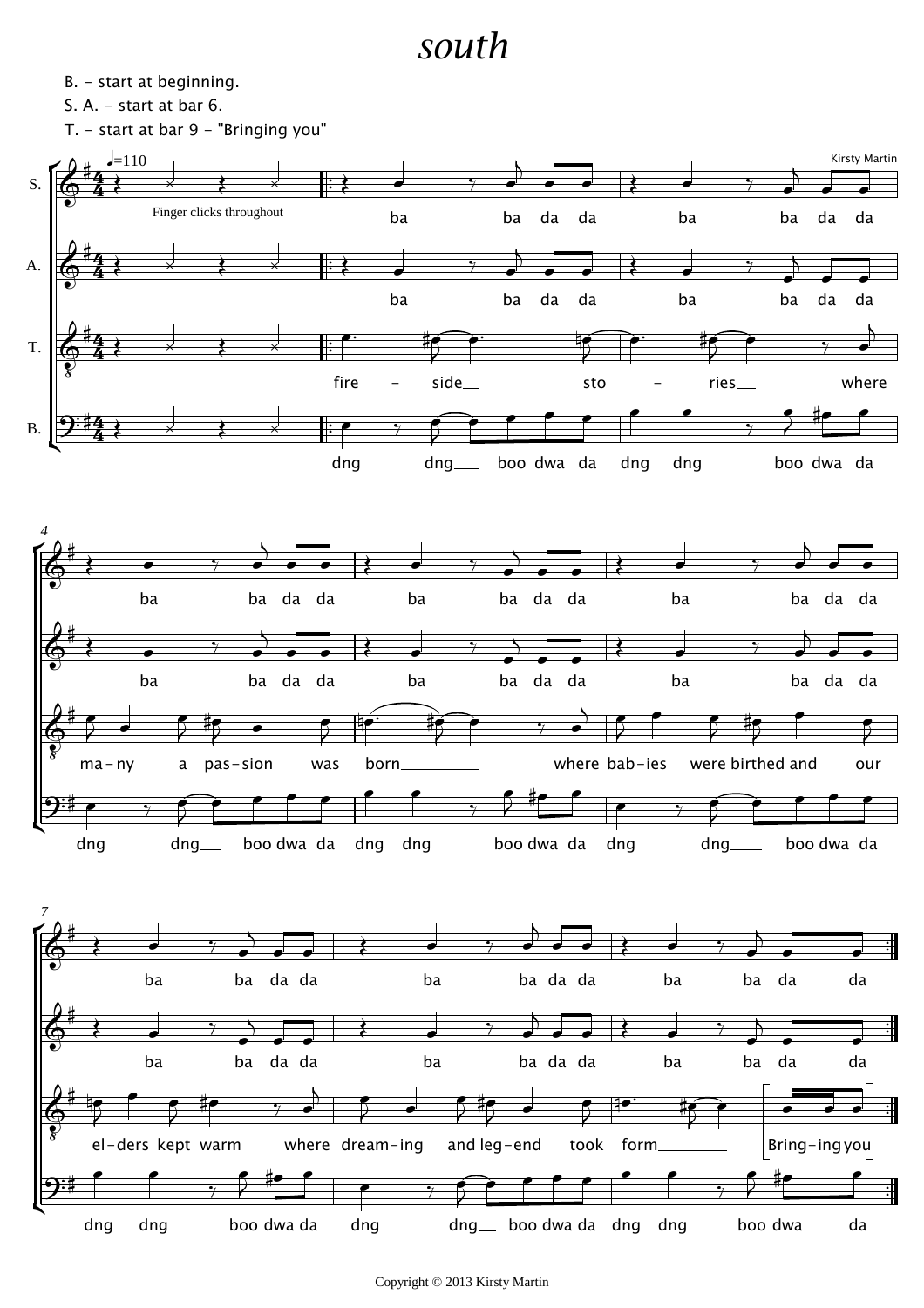## *south*

B. - start at beginning.

S. A. - start at bar 6.

T. - start at bar 9 - "Bringing you"

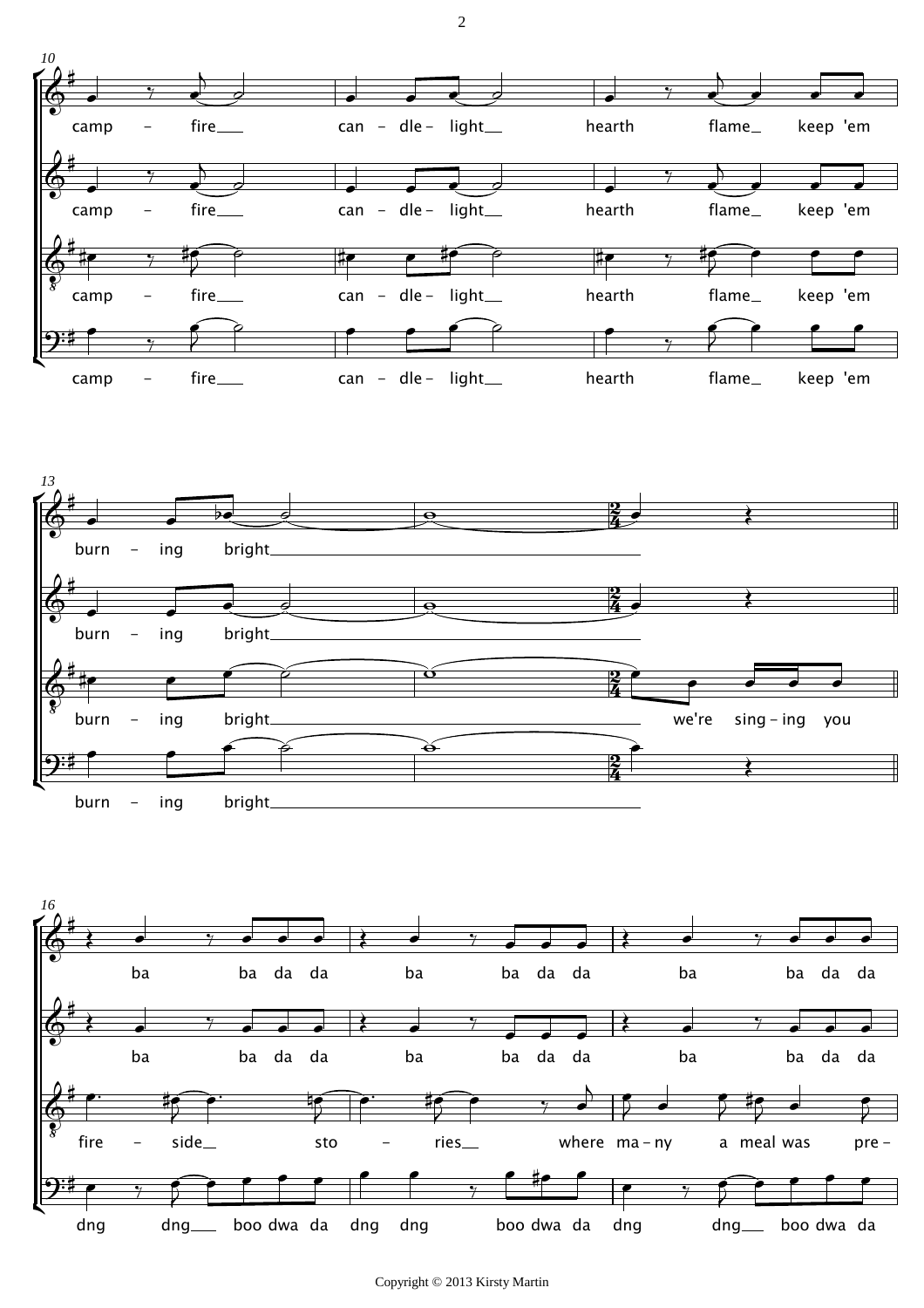





Copyright © 2013 Kirsty Martin

2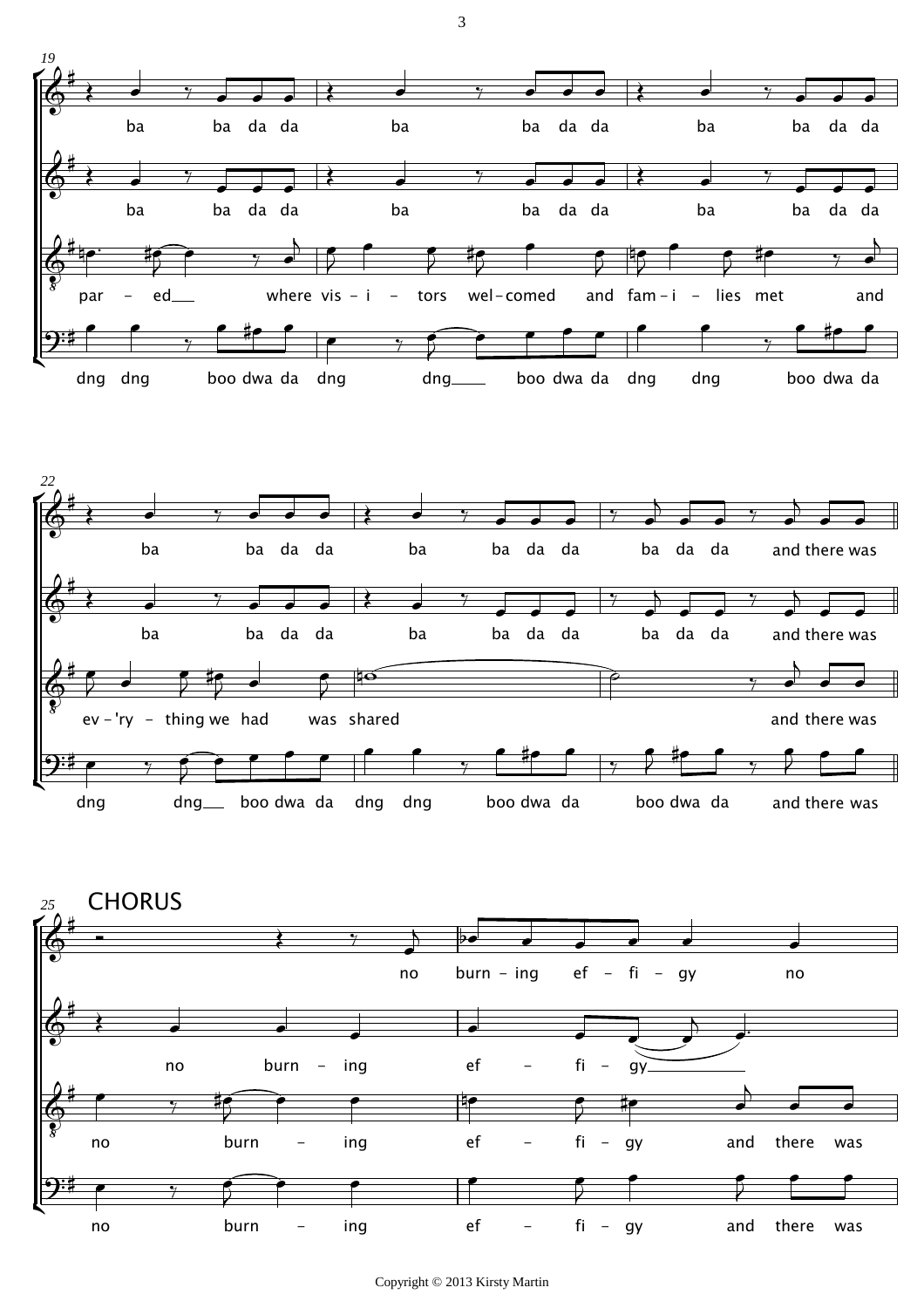



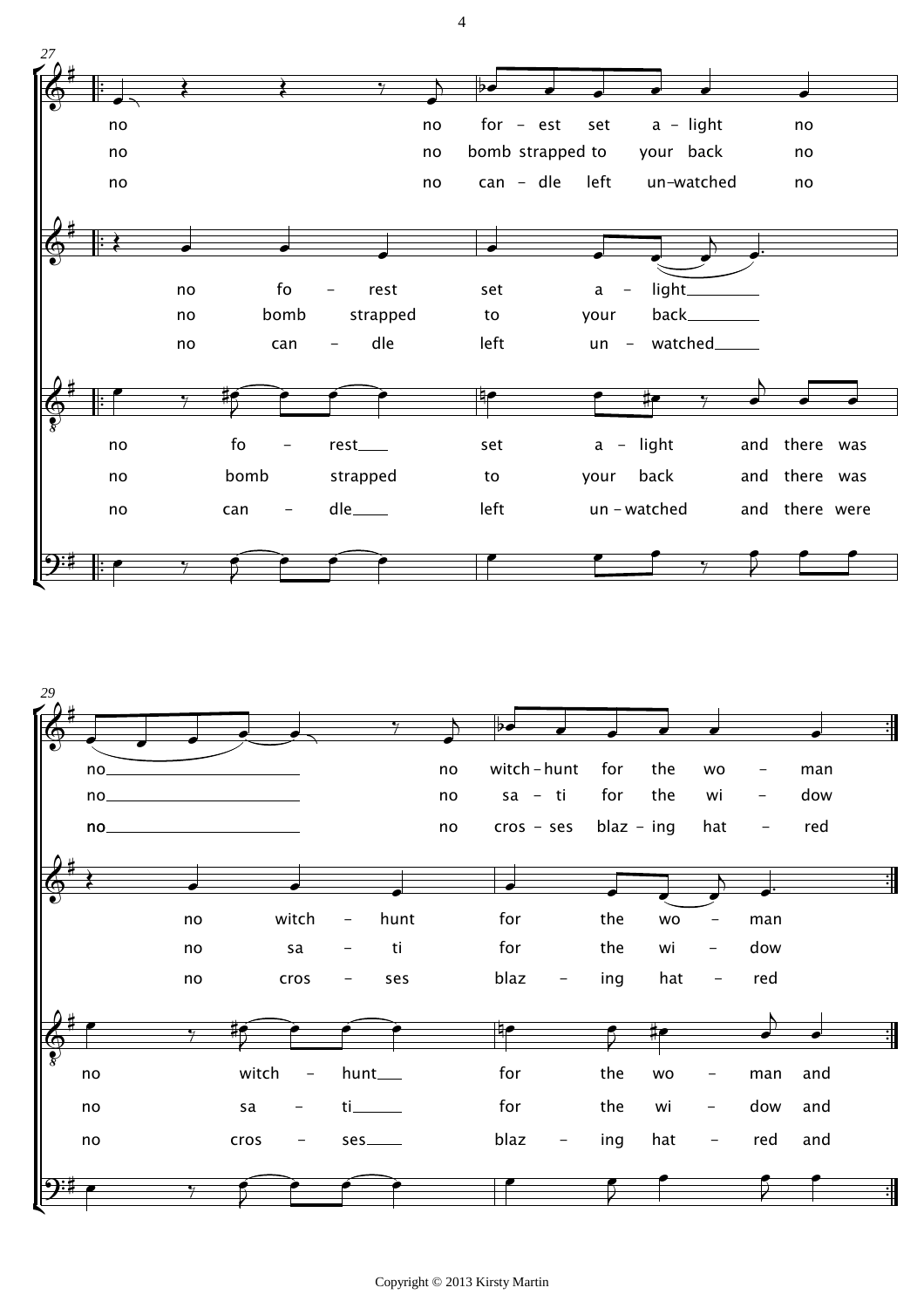

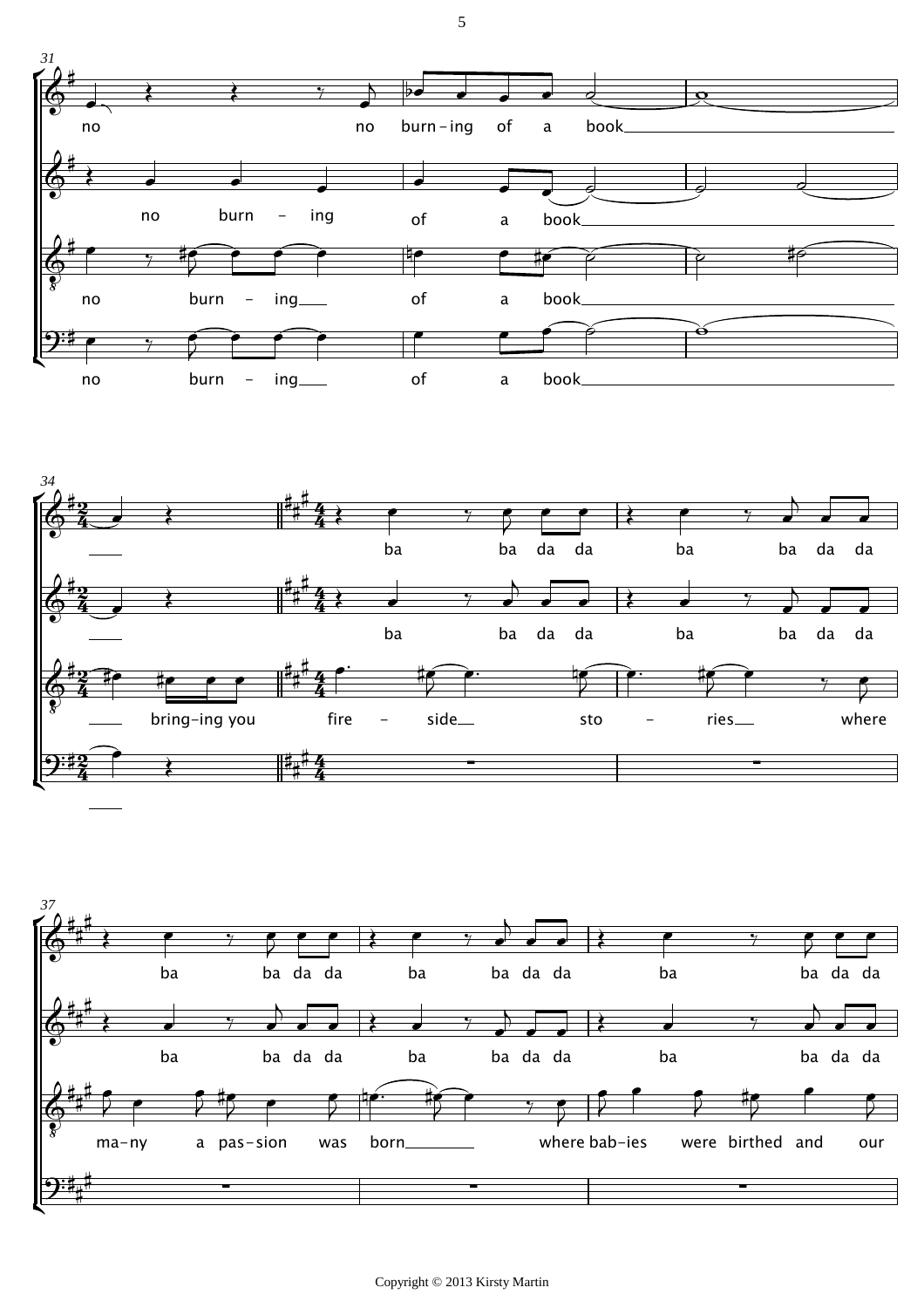



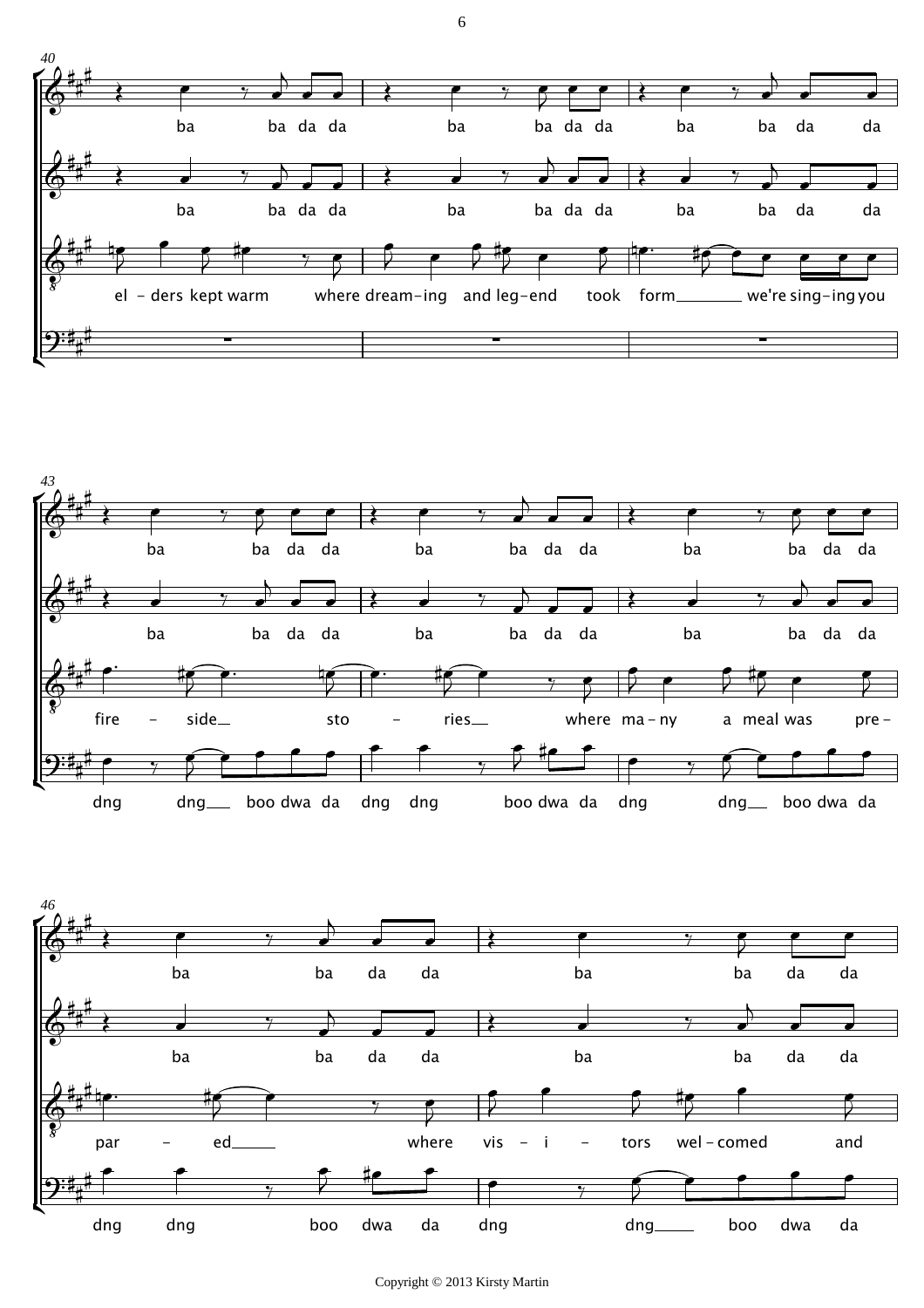





Copyright © 2013 Kirsty Martin

6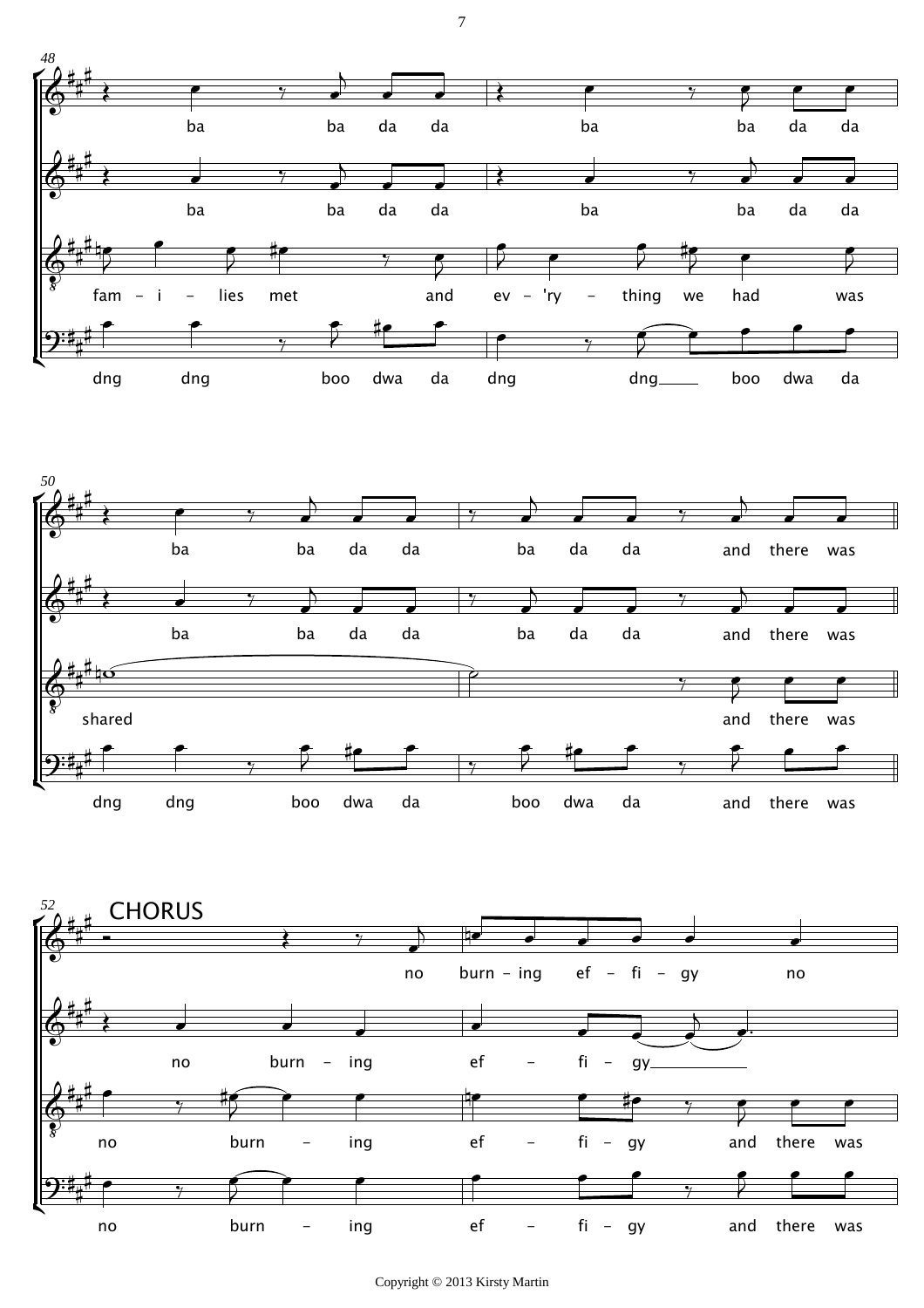



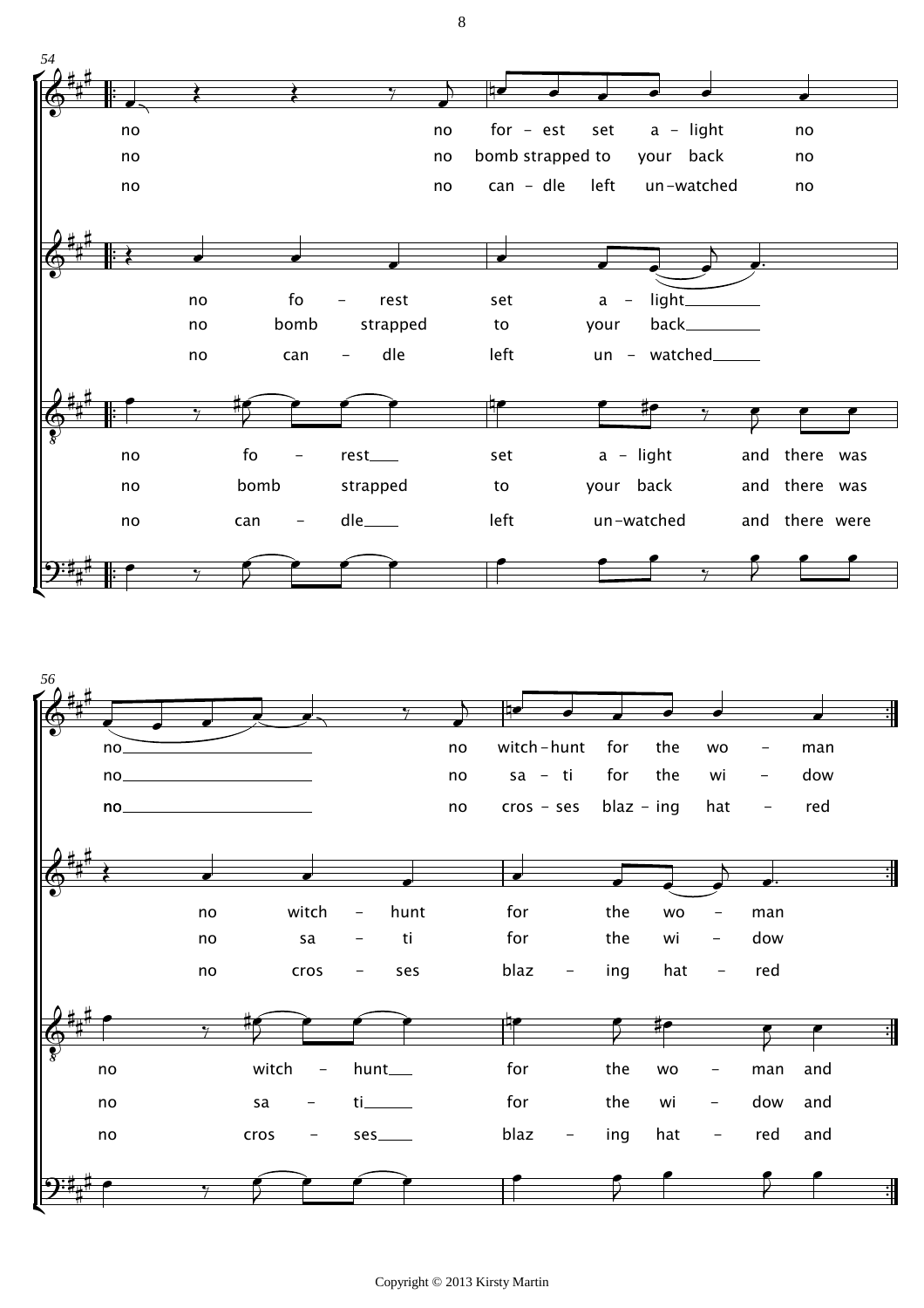



Copyright © 2013 Kirsty Martin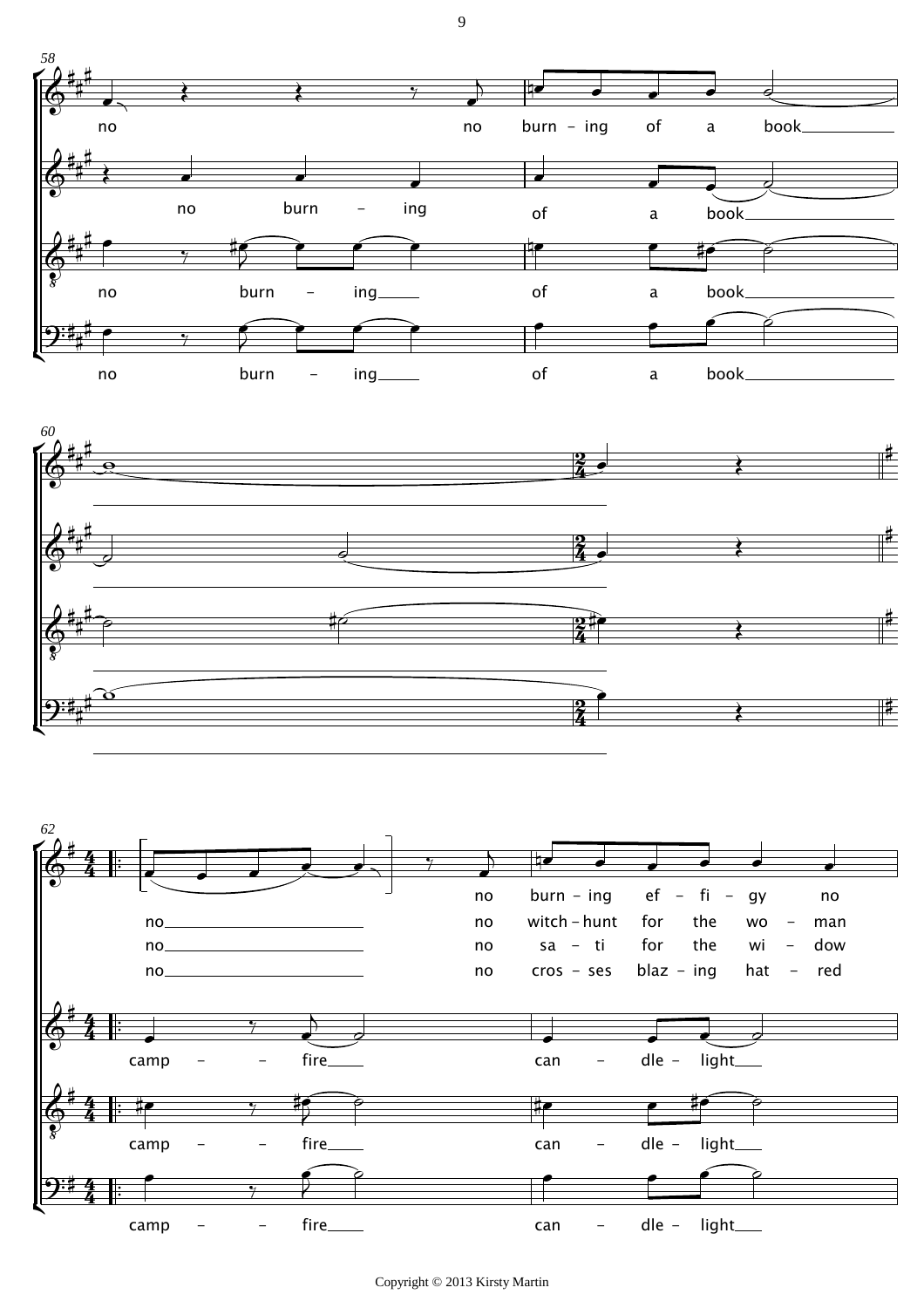





9